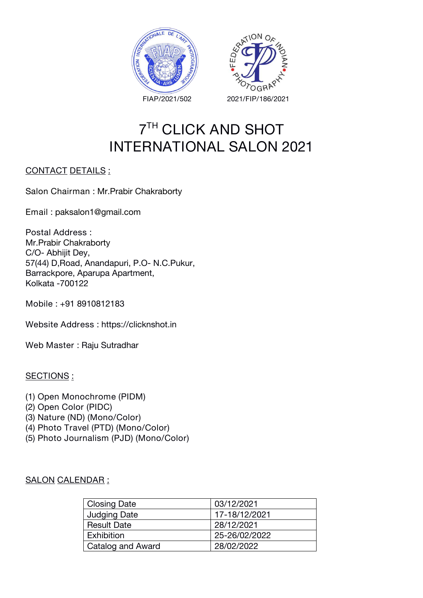



# **7 TH CLICK AND SHOT INTERNATIONAL SALON 2021**

### **CONTACT DETAILS :**

**Salon Chairman :** Mr.Prabir Chakraborty

**Email :** paksalon1@gmail.com

**Postal Address :** Mr.Prabir Chakraborty C/O- Abhijit Dey, 57(44) D,Road, Anandapuri, P.O- N.C.Pukur, Barrackpore, Aparupa Apartment, Kolkata -700122

**Mobile :** +91 8910812183

**Website Address :** https://clicknshot.in

**Web Master :** Raju Sutradhar

#### **SECTIONS :**

- **(1) Open Monochrome (PIDM)**
- **(2) Open Color (PIDC)**
- **(3) Nature (ND) (Mono/Color)**
- **(4) Photo Travel (PTD) (Mono/Color)**
- **(5) Photo Journalism (PJD) (Mono/Color)**

#### **SALON CALENDAR :**

| <b>Closing Date</b> | 03/12/2021    |
|---------------------|---------------|
| <b>Judging Date</b> | 17-18/12/2021 |
| <b>Result Date</b>  | 28/12/2021    |
| Exhibition          | 25-26/02/2022 |
| Catalog and Award   | 28/02/2022    |
|                     |               |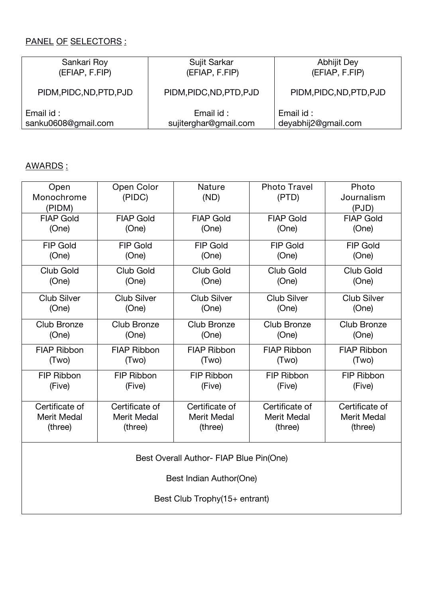## **PANEL OF SELECTORS :**

| Sankari Roy              | Sujit Sarkar             | Abhijit Dey              |  |
|--------------------------|--------------------------|--------------------------|--|
| (EFIAP, F.FIP)           | (EFIAP, F.FIP)           | (EFIAP, F.FIP)           |  |
| PIDM, PIDC, ND, PTD, PJD | PIDM, PIDC, ND, PTD, PJD | PIDM, PIDC, ND, PTD, PJD |  |
| Email id:                | Email id:                | Email id:                |  |
| sanku0608@gmail.com      | sujiterghar@gmail.com    | deyabhij2@gmail.com      |  |

## **AWARDS :**

| Open<br>Monochrome<br>(PIDM) | Open Color<br>(PIDC) | <b>Nature</b><br>(ND)                   | <b>Photo Travel</b><br>(PTD) | Photo<br>Journalism<br>(PJD) |
|------------------------------|----------------------|-----------------------------------------|------------------------------|------------------------------|
| <b>FIAP Gold</b>             | <b>FIAP Gold</b>     | <b>FIAP Gold</b>                        | <b>FIAP Gold</b>             | <b>FIAP Gold</b>             |
| (One)                        | (One)                | (One)                                   | (One)                        | (One)                        |
| <b>FIP Gold</b>              | <b>FIP Gold</b>      | <b>FIP Gold</b>                         | <b>FIP Gold</b>              | <b>FIP Gold</b>              |
| (One)                        | (One)                | (One)                                   | (One)                        | (One)                        |
| <b>Club Gold</b>             | Club Gold            | Club Gold                               | Club Gold                    | <b>Club Gold</b>             |
| (One)                        | (One)                | (One)                                   | (One)                        | (One)                        |
| <b>Club Silver</b>           | <b>Club Silver</b>   | <b>Club Silver</b>                      | <b>Club Silver</b>           | <b>Club Silver</b>           |
| (One)                        | (One)                | (One)                                   | (One)                        | (One)                        |
| <b>Club Bronze</b>           | Club Bronze          | Club Bronze                             | Club Bronze                  | <b>Club Bronze</b>           |
| (One)                        | (One)                | (One)                                   | (One)                        | (One)                        |
| <b>FIAP Ribbon</b>           | <b>FIAP Ribbon</b>   | <b>FIAP Ribbon</b>                      | <b>FIAP Ribbon</b>           | <b>FIAP Ribbon</b>           |
| (Two)                        | (Two)                | (Two)                                   | (Two)                        | (Two)                        |
| FIP Ribbon                   | FIP Ribbon           | FIP Ribbon                              | FIP Ribbon                   | FIP Ribbon                   |
| (Five)                       | (Five)               | (Five)                                  | (Five)                       | (Five)                       |
| Certificate of               | Certificate of       | Certificate of                          | Certificate of               | Certificate of               |
| <b>Merit Medal</b>           | <b>Merit Medal</b>   | <b>Merit Medal</b>                      | <b>Merit Medal</b>           | <b>Merit Medal</b>           |
| (three)                      | (three)              | (three)                                 | (three)                      | (three)                      |
|                              |                      | Best Overall Author- FIAP Blue Pin(One) |                              |                              |
|                              |                      | Best Indian Author(One)                 |                              |                              |
|                              |                      | Best Club Trophy(15+ entrant)           |                              |                              |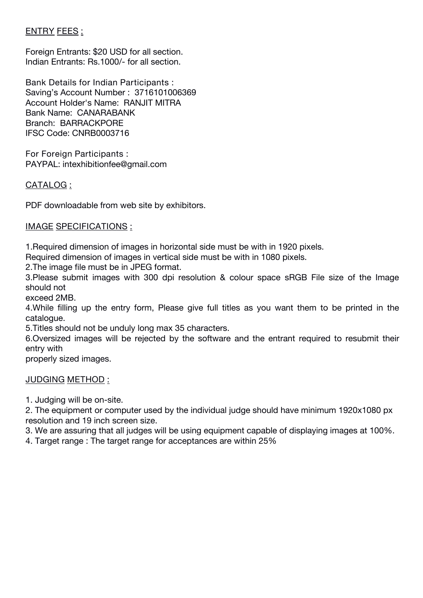## **ENTRY FEES :**

Foreign Entrants: \$20 USD for all section. Indian Entrants: Rs.1000/- for all section.

**Bank Details for Indian Participants :** Saving's Account Number : 3716101006369 Account Holder's Name: RANJIT MITRA Bank Name: CANARABANK Branch: BARRACKPORE IFSC Code: CNRB0003716

**For Foreign Participants :** PAYPAL: intexhibitionfee@gmail.com

#### **CATALOG :**

PDF downloadable from web site by exhibitors.

#### **IMAGE SPECIFICATIONS :**

1.Required dimension of images in horizontal side must be with in 1920 pixels.

Required dimension of images in vertical side must be with in 1080 pixels.

2.The image file must be in JPEG format.

3.Please submit images with 300 dpi resolution & colour space sRGB File size of the Image should not

exceed 2MB.

4.While filling up the entry form, Please give full titles as you want them to be printed in the catalogue.

5. Titles should not be unduly long max 35 characters.<br>6.Oversized images will be rejected by the software and the entrant required to resubmit their entry with

properly sized images.

#### **JUDGING METHOD :**

1. Judging will be on-site.

2. The equipment or computer used by the individual judge should have minimum 1920x1080 px resolution and 19 inch screen size.

3. We are assuring that all judges will be using equipment capable of displaying images at 100%.

4. Target range : The target range for acceptances are within 25%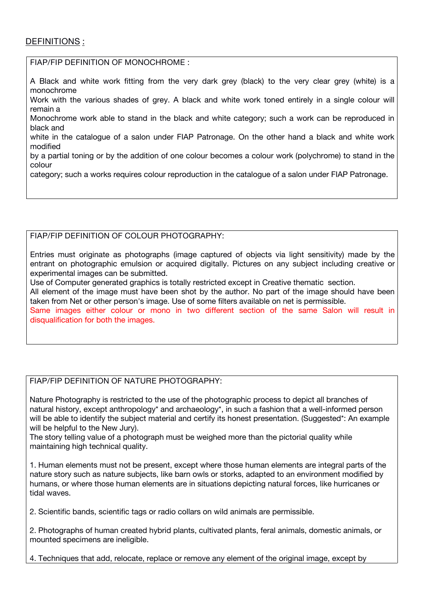#### **DEFINITIONS :**

**FIAP/FIP DEFINITION OF MONOCHROME :**

A Black and white work fitting from the very dark grey (black) to the very clear grey (white) is a monochrome Work with the various shades of grey. A black and white work toned entirely in a single colour will remain a Monochrome work able to stand in the black and white category; such a work can be reproduced in black and white in the catalogue of a salon under FIAP Patronage. On the other hand a black and white work modified by a partial toning or by the addition of one colour becomes a colour work (polychrome) to stand in the colour

category; such a works requires colour reproduction in the catalogue of a salon under FIAP Patronage.

#### **FIAP/FIP DEFINITION OF COLOUR PHOTOGRAPHY:**

Entries must originate as photographs (image captured of objects via light sensitivity) made by the entrant on photographic emulsion or acquired digitally. Pictures on any subject including creative or experimental images can be submitted.

Use of Computer generated graphics is totally restricted except in Creative thematic section. All element of the image must have been shot by the author. No part of the image should have been taken from Net or other person's image. Use of some filters available on net is permissible. Same images either colour or mono in two different section of the same Salon will result in disqualification for both the images.

#### **FIAP/FIP DEFINITION OF NATURE PHOTOGRAPHY:**

Nature Photography is restricted to the use of the photographic process to depict all branches of natural history, except anthropology\* and archaeology\*, in such a fashion that a well-informed person will be able to identify the subject material and certify its honest presentation. (Suggested\*: An example will be helpful to the New Jury).

The story telling value of a photograph must be weighed more than the pictorial quality while maintaining high technical quality.

1. Human elements must not be present, except where those human elements are integral parts of the nature story such as nature subjects, like barn owls or storks, adapted to an environment modified by humans, or where those human elements are in situations depicting natural forces, like hurricanes or tidal waves.

2. Scientific bands, scientific tags or radio collars on wild animals are permissible.

2. Photographs of human created hybrid plants, cultivated plants, feral animals, domestic animals, or mounted specimens are ineligible.

4. Techniques that add, relocate, replace or remove any element of the original image, except by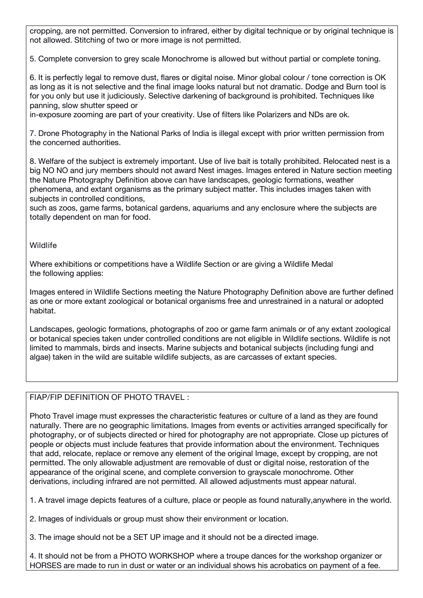cropping, are not permitted. Conversion to infrared, either by digital technique or by original technique is not allowed. Stitching of two or more image is not permitted.

5. Complete conversion to grey scale Monochrome is allowed but without partial or complete toning.

6. It is perfectly legal to remove dust, flares or digital noise. Minor global colour / tone correction is OK as long as it is not selective and the final image looks natural but not dramatic. Dodge and Burn tool is for you only but use it judiciously. Selective darkening of background is prohibited. Techniques like panning, slow shutter speed or

in-exposure zooming are part of your creativity. Use of filters like Polarizers and NDs are ok.

7. Drone Photography in the National Parks of India is illegal except with prior written permission from the concerned authorities.

8. Welfare of the subject is extremely important. Use of live bait is totally prohibited. Relocated nest is a big NO NO and jury members should not award Nest images. Images entered in Nature section meeting the Nature Photography Definition above can have landscapes, geologic formations, weather phenomena, and extant organisms as the primary subject matter. This includes images taken with subjects in controlled conditions,

such as zoos, game farms, botanical gardens, aquariums and any enclosure where the subjects are totally dependent on man for food.

#### **Wildlife**

Where exhibitions or competitions have a Wildlife Section or are giving a Wildlife Medal the following applies:

Images entered in Wildlife Sections meeting the Nature Photography Definition above are further defined as one ormore extant zoological or botanical organisms free and unrestrained in a natural or adopted habitat.

Landscapes, geologic formations, photographs of zoo or game farm animals or of any extant zoological or botanical species taken under controlled conditions are not eligible in Wildlife sections. Wildlife is not limited to mammals, birds and insects. Marine subjects and botanical subjects (including fungi and algae) taken in the wild are suitable wildlife subjects, as are carcasses of extant species.

#### **FIAP/FIP DEFINITION OF PHOTO TRAVEL :**

Photo Travel image must expresses the characteristic features or culture of a land as they are found naturally. There are no geographic limitations. Images from events or activities arranged specifically for photography, or of subjects directed or hired for photography are not appropriate. Close up pictures of people or objects must include features that provide information about the environment. Techniques that add, relocate, replace or remove any element of the original Image, except by cropping, are not permitted. The only allowable adjustment are removable of dust or digital noise, restoration of the appearance of the original scene, and complete conversion to grayscale monochrome. Other derivations, including infrared are not permitted. All allowed adjustments must appear natural.

1. A travel image depicts features of a culture, place or people as found naturally,anywhere in the world.

2. Images of individuals or group must show their environment or location.

3. The image should not be a SET UP image and it should not be a directed image.

4. It should not be from a PHOTO WORKSHOP where a troupe dances for the workshop organizer or HORSES are made to run in dust or water or an individual shows his acrobatics on payment of a fee.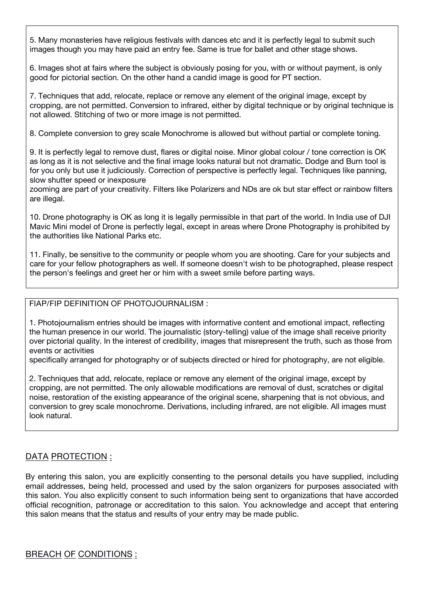5. Many monasteries have religious festivals with dances etc and it isperfectly legal to submit such images though you may have paid an entry fee. Same is true for ballet and other stage shows.

6. Images shot at fairs where the subject is obviously posing for you, with or without payment, is only good for pictorial section. On the otherhand a candid image is good for PT section.

7. Techniques that add, relocate, replace or remove any element of the original image, except by cropping, are not permitted. Conversion to infrared, either by digital technique or by original technique is not allowed. Stitching of two or more image is not permitted.

8. Complete conversion to grey scale Monochrome is allowed but without partial or complete toning.

9. It is perfectly legal to remove dust, flares or digital noise. Minor global colour / tone correction is OK as long as it is not selective and the final image looks natural but not dramatic. Dodge and Burn tool is for you only but use it judiciously. Correction of perspective is perfectly legal. Techniques like panning, slow shutter speed or inexposure

zooming are part of your creativity. Filters like Polarizers and NDs are ok but star effect or rainbow filters are illegal.

10. Drone photography is OK as long it is legally permissible in that part of the world. In India use of DJI Mavic Mini model of Drone is perfectly legal, except in areas where Drone Photography is prohibited by the authorities like National Parks etc.

11. Finally, be sensitive to the community or people whom you are shooting. Care for your subjects and care for your fellow photographers as well. If someone doesn't wish to be photographed, please respect the person's feelings and greet her or him with a sweet smile before parting ways.

**FIAP/FIP DEFINITION OF PHOTOJOURNALISM :**

1. Photojournalism entries should be images with informative content and emotional impact, reflecting the human presence in our world. The journalistic (story-telling) value of the image shall receive priority over pictorial quality. In the interest of credibility, images that misrepresent the truth, such as those from events or activities

specifically arranged for photography or of subjects directed or hired for photography, are not eligible.

2. Techniques that add, relocate, replace or remove any element of the original image, except by cropping, are not permitted. The only allowable modifications are removal of dust, scratches or digital noise, restoration of the existing appearance of the original scene, sharpening that is not obvious, and conversion to grey scale monochrome. Derivations, including infrared, are not eligible. All images must look natural.

#### **DATA PROTECTION :**

By entering this salon, you are explicitly consenting to the personal details you have supplied, including email addresses, being held, processed and used by the salon organizers for purposes associated with this salon. You also explicitly consent to such information being sent to organizations that have accorded official recognition, patronage or accreditation to this salon. You acknowledge and accept that entering this salon means that the status and results of your entry may be made public.

**BREACH OF CONDITIONS :**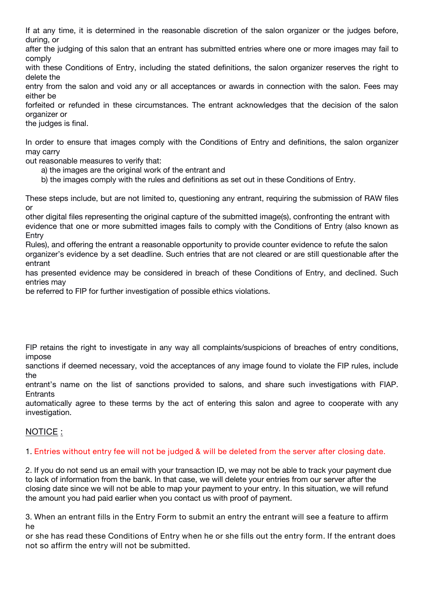If at any time, it is determined in the reasonable discretion of the salon organizer or the judges before, during, or

after the judging of this salon that an entrant has submitted entries where one or more images may fail to comply

with these Conditions of Entry, including the stated definitions, the salon organizer reserves the right to delete the

entry from the salon and void any or all acceptances or awards in connection with the salon. Fees may either be

forfeited or refunded in these circumstances. The entrant acknowledges that the decision of the salon organizer or

the judges is final.

In order to ensure that images comply with the Conditions of Entry and definitions, the salon organizer may carry

out reasonable measures to verify that:

- a) the images are the original work of the entrant and
- b) the images comply with the rules and definitions as set out in these Conditions of Entry.

These steps include, but are not limited to, questioning any entrant, requiring the submission of RAW files or

other digital files representing the original capture of the submitted image(s), confronting the entrant with evidence that one or more submitted images fails to comply with the Conditions of Entry (also known as Entry

Rules), and offering the entrant a reasonable opportunity to provide counter evidence to refute the salon organizer's evidence by a set deadline. Such entries that are not cleared or are still questionable after the entrant

has presented evidence may be considered in breach of these Conditions of Entry, and declined. Such entries may

be referred to FIP for further investigation of possible ethics violations.

FIP retains the right to investigate in any way all complaints/suspicions of breaches of entry conditions, impose

sanctions if deemed necessary, void the acceptances of any image found to violate the FIP rules, include the

entrant's name on the list of sanctions provided to salons, and share such investigations with FIAP. **Entrants** 

automatically agree to these terms by the act of entering this salon and agree to cooperate with any investigation.

#### **NOTICE :**

#### 1. Entries without entry fee will not be judged & will be deleted from the server after closing date.

2. If you do not send us an email with your transaction ID, we may not be able to track your payment due to lack of information from the bank. In that case, we will delete your entries from our server after the closing date since we will not be able to map your payment to your entry. In this situation, we will refund the amount you had paid earlier when you contact us with proof of payment.

3. When an entrant fills in the Entry Form to submit an entry the entrant will see a feature to affirm **he**

or she has read these Conditions of Entry when he or she fills out the entry form. If the entrant does **not so affirm the entry will not be submitted.**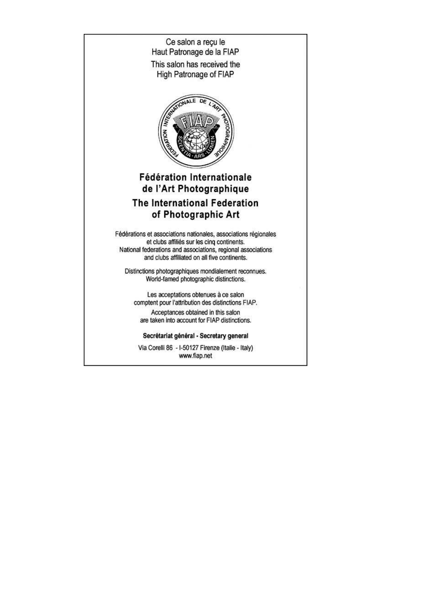